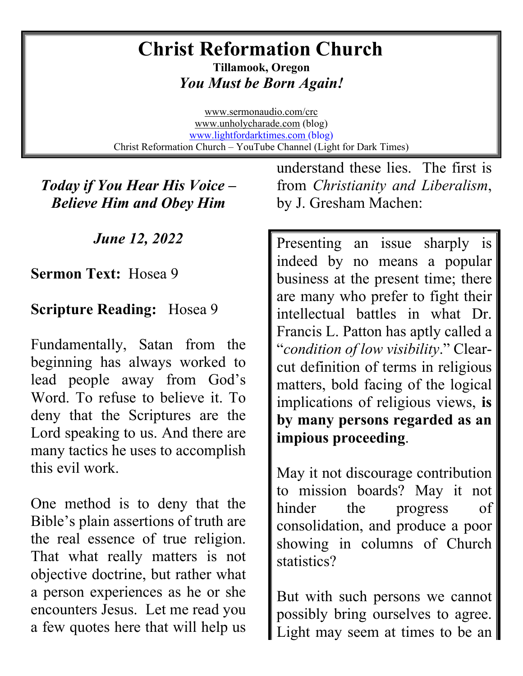# **Christ Reformation Church**

**Tillamook, Oregon** *You Must be Born Again!*

[www.sermonaudio.com/crc](http://www.sermonaudio.com/crc) [www.unholycharade.com](http://www.unholycharade.com/) (blog) [www.lightfordarktimes.com](http://www.lightfordarktimes.com/) (blog) Christ Reformation Church – YouTube Channel (Light for Dark Times)

## *Today if You Hear His Voice – Believe Him and Obey Him*

*June 12, 2022*

#### **Sermon Text:** Hosea 9

## **Scripture Reading:** Hosea 9

Fundamentally, Satan from the beginning has always worked to lead people away from God's Word. To refuse to believe it. To deny that the Scriptures are the Lord speaking to us. And there are many tactics he uses to accomplish this evil work.

One method is to deny that the Bible's plain assertions of truth are the real essence of true religion. That what really matters is not objective doctrine, but rather what a person experiences as he or she encounters Jesus. Let me read you a few quotes here that will help us

understand these lies. The first is from *Christianity and Liberalism*, by J. Gresham Machen:

Presenting an issue sharply is indeed by no means a popular business at the present time; there are many who prefer to fight their intellectual battles in what Dr. Francis L. Patton has aptly called a "*condition of low visibility*." Clearcut definition of terms in religious matters, bold facing of the logical implications of religious views, **is by many persons regarded as an impious proceeding**.

May it not discourage contribution to mission boards? May it not hinder the progress of consolidation, and produce a poor showing in columns of Church statistics?

But with such persons we cannot possibly bring ourselves to agree. Light may seem at times to be an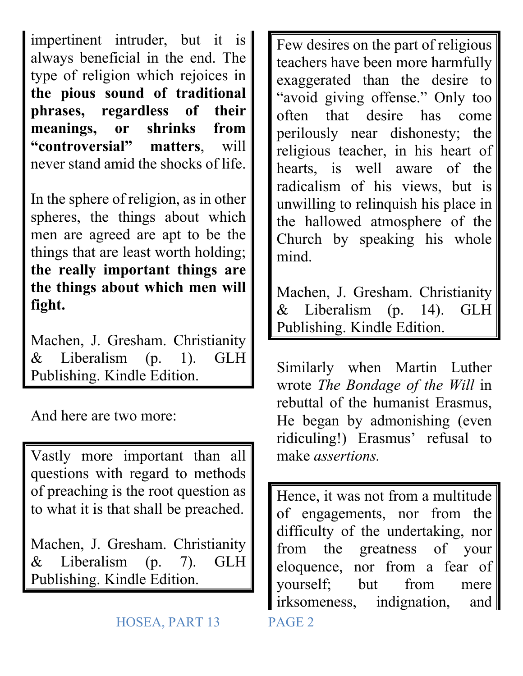impertinent intruder, but it is always beneficial in the end. The type of religion which rejoices in **the pious sound of traditional phrases, regardless of their meanings, or shrinks from "controversial" matters**, will never stand amid the shocks of life.

In the sphere of religion, as in other spheres, the things about which men are agreed are apt to be the things that are least worth holding; **the really important things are the things about which men will fight.**

Machen, J. Gresham. Christianity & Liberalism (p. 1). GLH Publishing. Kindle Edition.

And here are two more:

Vastly more important than all questions with regard to methods of preaching is the root question as to what it is that shall be preached.

Machen, J. Gresham. Christianity & Liberalism (p. 7). GLH Publishing. Kindle Edition.

Few desires on the part of religious teachers have been more harmfully exaggerated than the desire to "avoid giving offense." Only too often that desire has come perilously near dishonesty; the religious teacher, in his heart of hearts, is well aware of the radicalism of his views, but is unwilling to relinquish his place in the hallowed atmosphere of the Church by speaking his whole mind.

Machen, J. Gresham. Christianity & Liberalism (p. 14). GLH Publishing. Kindle Edition.

Similarly when Martin Luther wrote *The Bondage of the Will* in rebuttal of the humanist Erasmus, He began by admonishing (even ridiculing!) Erasmus' refusal to make *assertions.*

Hence, it was not from a multitude of engagements, nor from the difficulty of the undertaking, nor from the greatness of your eloquence, nor from a fear of yourself; but from mere irksomeness, indignation, and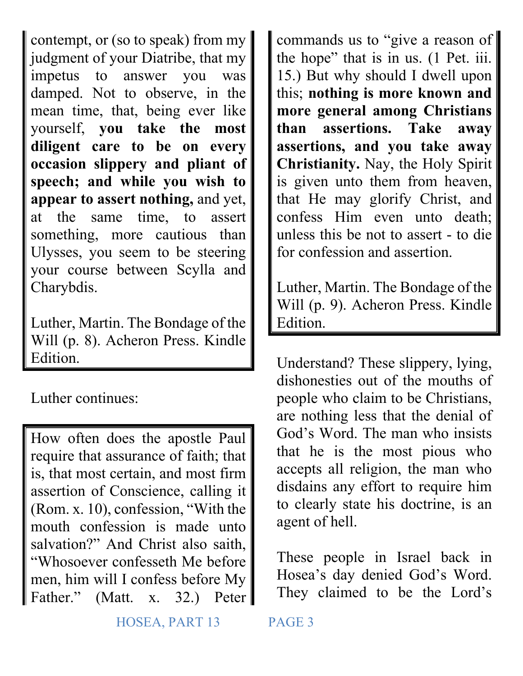contempt, or (so to speak) from my judgment of your Diatribe, that my impetus to answer you was damped. Not to observe, in the mean time, that, being ever like yourself, **you take the most diligent care to be on every occasion slippery and pliant of speech; and while you wish to appear to assert nothing,** and yet, at the same time, to assert something, more cautious than Ulysses, you seem to be steering your course between Scylla and Charybdis.

Luther, Martin. The Bondage of the Will (p. 8). Acheron Press. Kindle Edition.

Luther continues:

How often does the apostle Paul require that assurance of faith; that is, that most certain, and most firm assertion of Conscience, calling it (Rom. x. 10), confession, "With the mouth confession is made unto salvation?" And Christ also saith, "Whosoever confesseth Me before men, him will I confess before My Father." (Matt. x. 32.) Peter

commands us to "give a reason of the hope" that is in us. (1 Pet. iii. 15.) But why should I dwell upon this; **nothing is more known and more general among Christians than assertions. Take away assertions, and you take away Christianity.** Nay, the Holy Spirit is given unto them from heaven, that He may glorify Christ, and confess Him even unto death; unless this be not to assert - to die for confession and assertion.

Luther, Martin. The Bondage of the Will (p. 9). Acheron Press. Kindle Edition.

Understand? These slippery, lying, dishonesties out of the mouths of people who claim to be Christians, are nothing less that the denial of God's Word. The man who insists that he is the most pious who accepts all religion, the man who disdains any effort to require him to clearly state his doctrine, is an agent of hell.

These people in Israel back in Hosea's day denied God's Word. They claimed to be the Lord's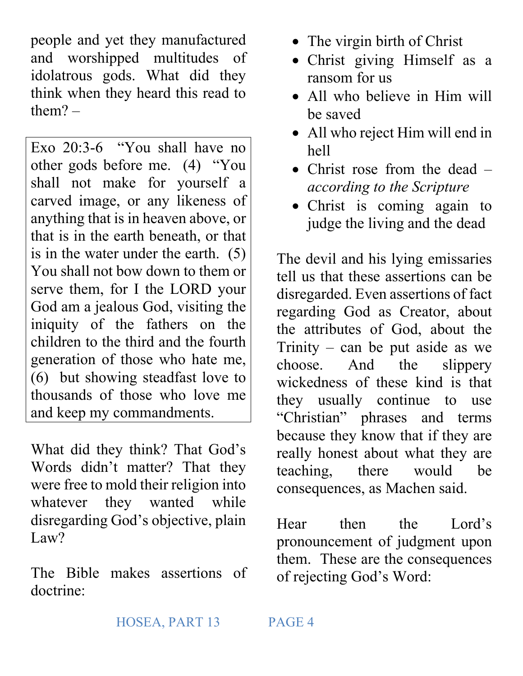people and yet they manufactured and worshipped multitudes of idolatrous gods. What did they think when they heard this read to them? –

Exo 20:3-6 "You shall have no other gods before me. (4) "You shall not make for yourself a carved image, or any likeness of anything that is in heaven above, or that is in the earth beneath, or that is in the water under the earth. (5) You shall not bow down to them or serve them, for I the LORD your God am a jealous God, visiting the iniquity of the fathers on the children to the third and the fourth generation of those who hate me, (6) but showing steadfast love to thousands of those who love me and keep my commandments.

What did they think? That God's Words didn't matter? That they were free to mold their religion into whatever they wanted while disregarding God's objective, plain Law?

The Bible makes assertions of doctrine:

- The virgin birth of Christ
- Christ giving Himself as a ransom for us
- All who believe in Him will be saved
- All who reject Him will end in hell
- Christ rose from the dead *according to the Scripture*
- Christ is coming again to judge the living and the dead

The devil and his lying emissaries tell us that these assertions can be disregarded. Even assertions of fact regarding God as Creator, about the attributes of God, about the Trinity – can be put aside as we choose. And the slippery wickedness of these kind is that they usually continue to use "Christian" phrases and terms because they know that if they are really honest about what they are teaching, there would be consequences, as Machen said.

Hear then the Lord's pronouncement of judgment upon them. These are the consequences of rejecting God's Word: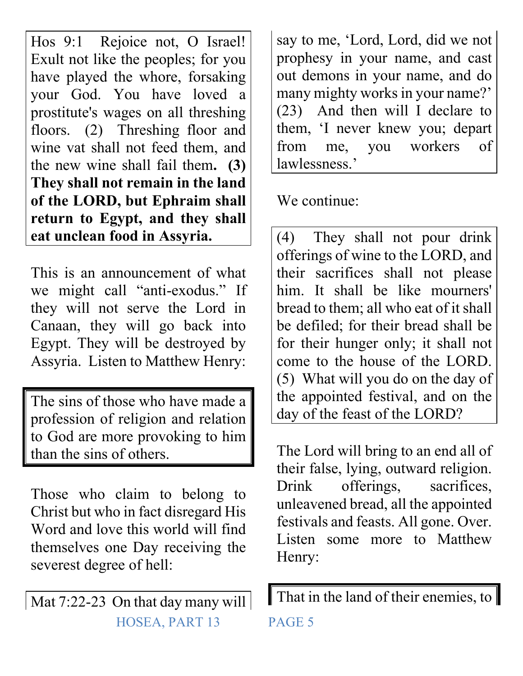Hos 9:1 Rejoice not, O Israel! Exult not like the peoples; for you have played the whore, forsaking your God. You have loved a prostitute's wages on all threshing floors. (2) Threshing floor and wine vat shall not feed them, and the new wine shall fail them**. (3) They shall not remain in the land of the LORD, but Ephraim shall return to Egypt, and they shall eat unclean food in Assyria.** 

This is an announcement of what we might call "anti-exodus." If they will not serve the Lord in Canaan, they will go back into Egypt. They will be destroyed by Assyria. Listen to Matthew Henry:

The sins of those who have made a profession of religion and relation to God are more provoking to him than the sins of others.

Those who claim to belong to Christ but who in fact disregard His Word and love this world will find themselves one Day receiving the severest degree of hell:

HOSEA, PART 13 PAGE 5 Mat 7:22-23 On that day many will  $\vert$ 

say to me, 'Lord, Lord, did we not prophesy in your name, and cast out demons in your name, and do many mighty works in your name?' (23) And then will I declare to them, 'I never knew you; depart from me, you workers of lawlessness.'

We continue:

(4) They shall not pour drink offerings of wine to the LORD, and their sacrifices shall not please him. It shall be like mourners' bread to them; all who eat of it shall be defiled; for their bread shall be for their hunger only; it shall not come to the house of the LORD. (5) What will you do on the day of the appointed festival, and on the day of the feast of the LORD?

The Lord will bring to an end all of their false, lying, outward religion. Drink offerings, sacrifices, unleavened bread, all the appointed festivals and feasts. All gone. Over. Listen some more to Matthew Henry:

That in the land of their enemies, to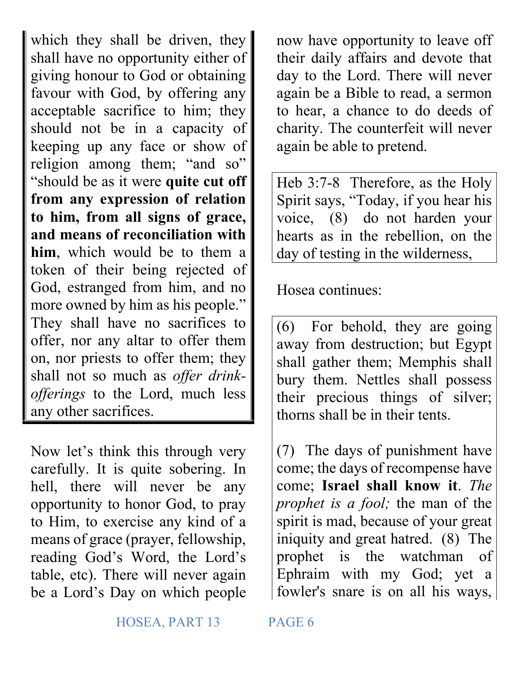which they shall be driven, they shall have no opportunity either of giving honour to God or obtaining favour with God, by offering any acceptable sacrifice to him; they should not be in a capacity of keeping up any face or show of religion among them; "and so" "should be as it were **quite cut off from any expression of relation to him, from all signs of grace, and means of reconciliation with him**, which would be to them a token of their being rejected of God, estranged from him, and no more owned by him as his people." They shall have no sacrifices to offer, nor any altar to offer them on, nor priests to offer them; they shall not so much as *offer drinkofferings* to the Lord, much less any other sacrifices.

Now let's think this through very carefully. It is quite sobering. In hell, there will never be any opportunity to honor God, to pray to Him, to exercise any kind of a means of grace (prayer, fellowship, reading God's Word, the Lord's table, etc). There will never again be a Lord's Day on which people

now have opportunity to leave off their daily affairs and devote that day to the Lord. There will never again be a Bible to read, a sermon to hear, a chance to do deeds of charity. The counterfeit will never again be able to pretend.

Heb 3:7-8 Therefore, as the Holy Spirit says, "Today, if you hear his voice, (8) do not harden your hearts as in the rebellion, on the day of testing in the wilderness,

Hosea continues:

(6) For behold, they are going away from destruction; but Egypt shall gather them; Memphis shall bury them. Nettles shall possess their precious things of silver; thorns shall be in their tents.

(7) The days of punishment have come; the days of recompense have come; **Israel shall know it**. *The prophet is a fool;* the man of the spirit is mad, because of your great iniquity and great hatred. (8) The prophet is the watchman of Ephraim with my God; yet a fowler's snare is on all his ways,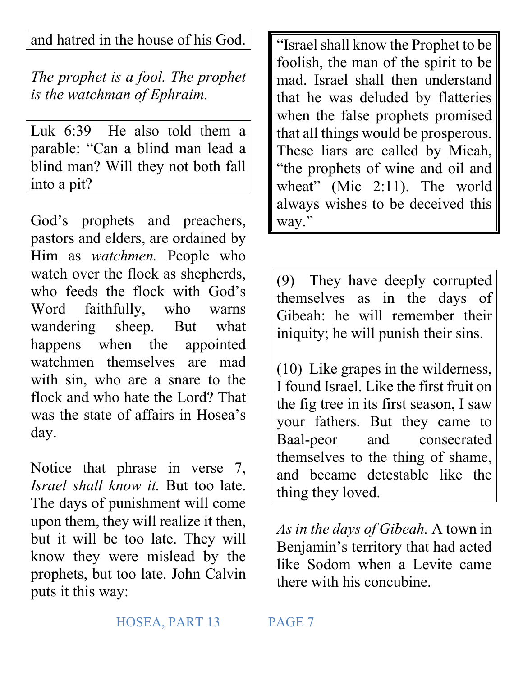and hatred in the house of his God.

*The prophet is a fool. The prophet is the watchman of Ephraim.* 

Luk 6:39 He also told them a parable: "Can a blind man lead a blind man? Will they not both fall into a pit?

God's prophets and preachers, pastors and elders, are ordained by Him as *watchmen.* People who watch over the flock as shepherds, who feeds the flock with God's Word faithfully, who warns wandering sheep. But what happens when the appointed watchmen themselves are mad with sin, who are a snare to the flock and who hate the Lord? That was the state of affairs in Hosea's day.

Notice that phrase in verse 7, *Israel shall know it.* But too late. The days of punishment will come upon them, they will realize it then, but it will be too late. They will know they were mislead by the prophets, but too late. John Calvin puts it this way:

"Israel shall know the Prophet to be foolish, the man of the spirit to be mad. Israel shall then understand that he was deluded by flatteries when the false prophets promised that all things would be prosperous. These liars are called by Micah, "the prophets of wine and oil and wheat" (Mic 2:11). The world always wishes to be deceived this way."

(9) They have deeply corrupted themselves as in the days of Gibeah: he will remember their iniquity; he will punish their sins.

(10) Like grapes in the wilderness, I found Israel. Like the first fruit on the fig tree in its first season, I saw your fathers. But they came to Baal-peor and consecrated themselves to the thing of shame, and became detestable like the thing they loved.

*As in the days of Gibeah.* A town in Benjamin's territory that had acted like Sodom when a Levite came there with his concubine.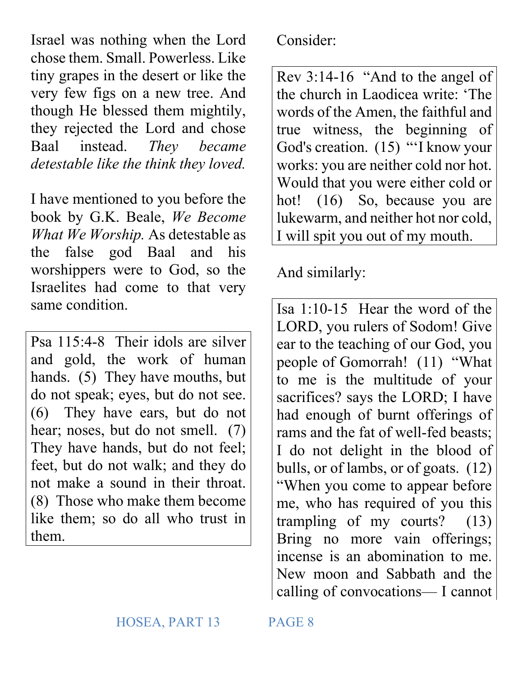Israel was nothing when the Lord chose them. Small. Powerless. Like tiny grapes in the desert or like the very few figs on a new tree. And though He blessed them mightily, they rejected the Lord and chose Baal instead. *They became detestable like the think they loved.*

I have mentioned to you before the book by G.K. Beale, *We Become What We Worship.* As detestable as the false god Baal and his worshippers were to God, so the Israelites had come to that very same condition.

Psa 115:4-8 Their idols are silver and gold, the work of human hands. (5) They have mouths, but do not speak; eyes, but do not see. (6) They have ears, but do not hear; noses, but do not smell. (7) They have hands, but do not feel; feet, but do not walk; and they do not make a sound in their throat. (8) Those who make them become like them; so do all who trust in them.

Consider:

Rev 3:14-16 "And to the angel of the church in Laodicea write: 'The words of the Amen, the faithful and true witness, the beginning of God's creation. (15) "'I know your works: you are neither cold nor hot. Would that you were either cold or hot! (16) So, because you are lukewarm, and neither hot nor cold, I will spit you out of my mouth.

And similarly:

Isa 1:10-15 Hear the word of the LORD, you rulers of Sodom! Give ear to the teaching of our God, you people of Gomorrah! (11) "What to me is the multitude of your sacrifices? says the LORD; I have had enough of burnt offerings of rams and the fat of well-fed beasts; I do not delight in the blood of bulls, or of lambs, or of goats. (12) "When you come to appear before me, who has required of you this trampling of my courts? (13) Bring no more vain offerings; incense is an abomination to me. New moon and Sabbath and the calling of convocations— I cannot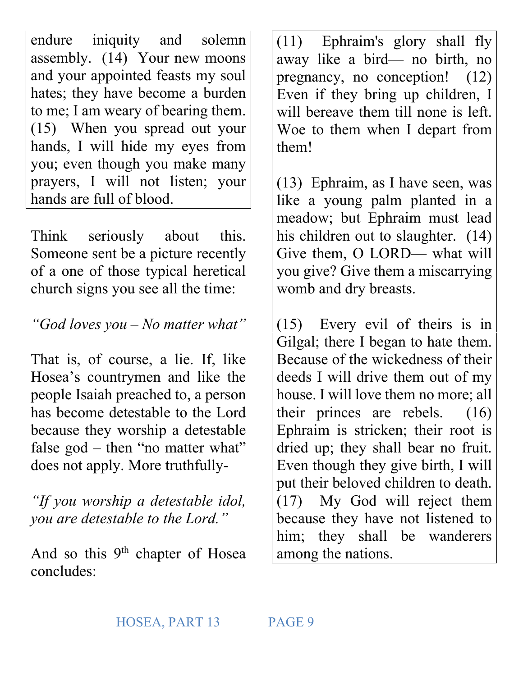endure iniquity and solemn assembly. (14) Your new moons and your appointed feasts my soul hates; they have become a burden to me; I am weary of bearing them. (15) When you spread out your hands, I will hide my eyes from you; even though you make many prayers, I will not listen; your hands are full of blood.

Think seriously about this. Someone sent be a picture recently of a one of those typical heretical church signs you see all the time:

### *"God loves you – No matter what"*

That is, of course, a lie. If, like Hosea's countrymen and like the people Isaiah preached to, a person has become detestable to the Lord because they worship a detestable false god  $-$  then "no matter what" does not apply. More truthfully-

*"If you worship a detestable idol, you are detestable to the Lord."*

And so this  $9<sup>th</sup>$  chapter of Hosea concludes:

(11) Ephraim's glory shall fly away like a bird— no birth, no pregnancy, no conception! (12) Even if they bring up children, I will bereave them till none is left. Woe to them when I depart from them!

(13) Ephraim, as I have seen, was like a young palm planted in a meadow; but Ephraim must lead his children out to slaughter. (14) Give them, O LORD— what will you give? Give them a miscarrying womb and dry breasts.

(15) Every evil of theirs is in Gilgal; there I began to hate them. Because of the wickedness of their deeds I will drive them out of my house. I will love them no more; all their princes are rebels. (16) Ephraim is stricken; their root is dried up; they shall bear no fruit. Even though they give birth, I will put their beloved children to death. (17) My God will reject them because they have not listened to him; they shall be wanderers among the nations.